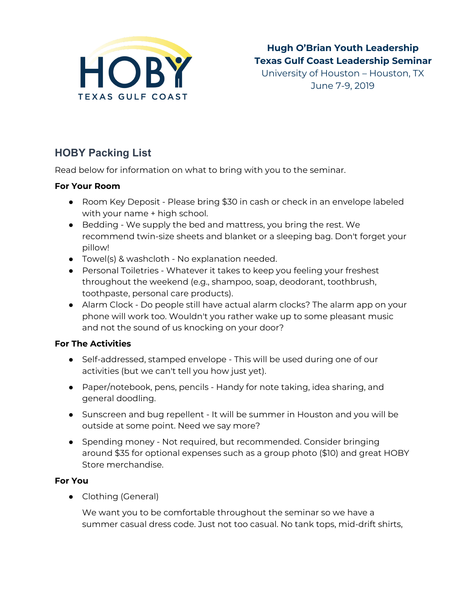

**Hugh O'Brian Youth Leadership Texas Gulf Coast Leadership Seminar**

University of Houston – Houston, TX June 7-9, 2019

# **HOBY Packing List**

Read below for information on what to bring with you to the seminar.

### **For Your Room**

- Room Key Deposit Please bring \$30 in cash or check in an envelope labeled with your name + high school.
- Bedding We supply the bed and mattress, you bring the rest. We recommend twin-size sheets and blanket or a sleeping bag. Don't forget your pillow!
- Towel(s) & washcloth No explanation needed.
- Personal Toiletries Whatever it takes to keep you feeling your freshest throughout the weekend (e.g., shampoo, soap, deodorant, toothbrush, toothpaste, personal care products).
- Alarm Clock Do people still have actual alarm clocks? The alarm app on your phone will work too. Wouldn't you rather wake up to some pleasant music and not the sound of us knocking on your door?

### **For The Activities**

- Self-addressed, stamped envelope This will be used during one of our activities (but we can't tell you how just yet).
- Paper/notebook, pens, pencils Handy for note taking, idea sharing, and general doodling.
- Sunscreen and bug repellent It will be summer in Houston and you will be outside at some point. Need we say more?
- Spending money Not required, but recommended. Consider bringing around \$35 for optional expenses such as a group photo (\$10) and great HOBY Store merchandise.

#### **For You**

● Clothing (General)

We want you to be comfortable throughout the seminar so we have a summer casual dress code. Just not too casual. No tank tops, mid-drift shirts,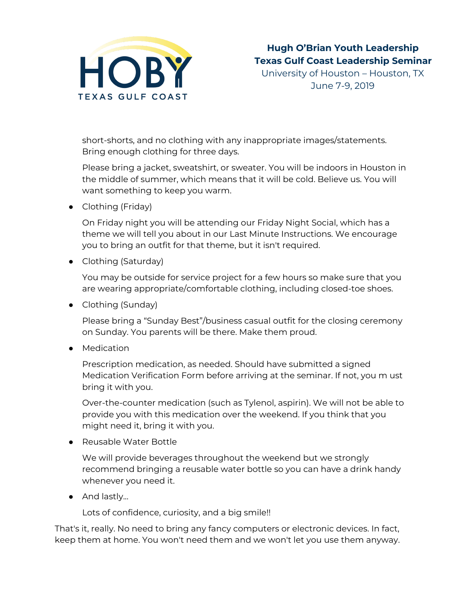

University of Houston – Houston, TX June 7-9, 2019

short-shorts, and no clothing with any inappropriate images/statements. Bring enough clothing for three days.

Please bring a jacket, sweatshirt, or sweater. You will be indoors in Houston in the middle of summer, which means that it will be cold. Believe us. You will want something to keep you warm.

• Clothing (Friday)

On Friday night you will be attending our Friday Night Social, which has a theme we will tell you about in our Last Minute Instructions. We encourage you to bring an outfit for that theme, but it isn't required.

• Clothing (Saturday)

You may be outside for service project for a few hours so make sure that you are wearing appropriate/comfortable clothing, including closed-toe shoes.

• Clothing (Sunday)

Please bring a "Sunday Best"/business casual outfit for the closing ceremony on Sunday. You parents will be there. Make them proud.

● Medication

Prescription medication, as needed. Should have submitted a signed Medication Verification Form before arriving at the seminar. If not, you m ust bring it with you.

Over-the-counter medication (such as Tylenol, aspirin). We will not be able to provide you with this medication over the weekend. If you think that you might need it, bring it with you.

● Reusable Water Bottle

We will provide beverages throughout the weekend but we strongly recommend bringing a reusable water bottle so you can have a drink handy whenever you need it.

• And lastly...

Lots of confidence, curiosity, and a big smile!!

That's it, really. No need to bring any fancy computers or electronic devices. In fact, keep them at home. You won't need them and we won't let you use them anyway.